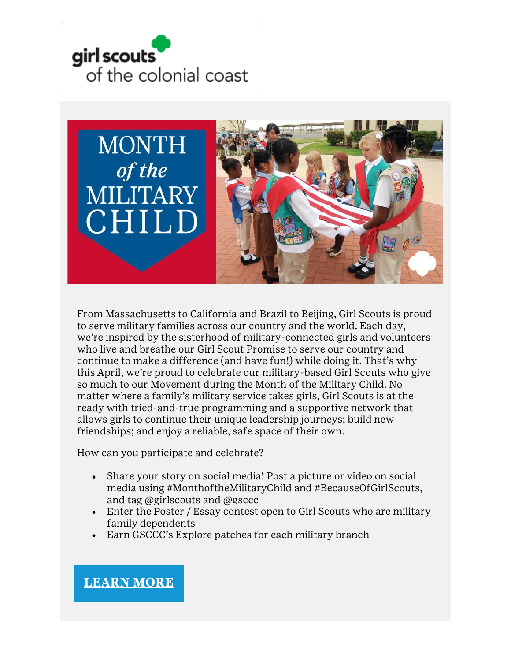



From Massachusetts to California and Brazil to Beijing, Girl Scouts is proud to serve military families across our country and the world. Each day, we're inspired by the sisterhood of military-connected girls and volunteers who live and breathe our Girl Scout Promise to serve our country and continue to make a difference (and have fun!) while doing it. That's why this April, we're proud to celebrate our military-based Girl Scouts who give so much to our Movement during the Month of the Military Child. No matter where a family's military service takes girls, Girl Scouts is at the ready with tried-and-true programming and a supportive network that allows girls to continue their unique leadership journeys; build new friendships; and enjoy a reliable, safe space of their own.

How can you participate and celebrate?

- Share your story on social media! Post a picture or video on social media using #MonthoftheMilitaryChild and #BecauseOfGirlScouts, and tag @girlscouts and @gsccc
- Enter the Poster / Essay contest open to Girl Scouts who are military family dependents
- Earn GSCCC's Explore patches for each military branch

# **[LEARN](https://www.gsccc.org/en/about/our-program/military-families.html) MORE**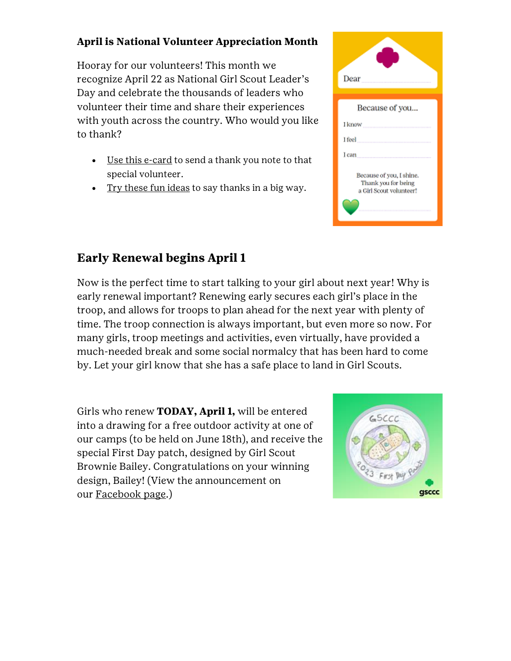### **April is National Volunteer Appreciation Month**

Hooray for our volunteers! This month we recognize April 22 as National Girl Scout Leader's Day and celebrate the thousands of leaders who volunteer their time and share their experiences with youth across the country. Who would you like to thank?

- [Use this e-card](https://www.gsccc.org/content/dam/girlscouts-gsccc/documents/marketingresources/Volunteer-Appreciation-Thank-You-Card.pdf) to send a thank you note to that special volunteer.
- [Try these fun ideas](https://www.girlscouts.org/en/activities-for-girls/for-every-girl/volunteer-appreciation-month.html) to say thanks in a big way.

| Dear                                                                       |
|----------------------------------------------------------------------------|
|                                                                            |
| Because of you                                                             |
| I know<br>                                                                 |
| I feel                                                                     |
| I can                                                                      |
| Because of you, I shine.<br>Thank you for being<br>a Girl Scout volunteer! |

# **Early Renewal begins April 1**

Now is the perfect time to start talking to your girl about next year! Why is early renewal important? Renewing early secures each girl's place in the troop, and allows for troops to plan ahead for the next year with plenty of time. The troop connection is always important, but even more so now. For many girls, troop meetings and activities, even virtually, have provided a much-needed break and some social normalcy that has been hard to come by. Let your girl know that she has a safe place to land in Girl Scouts.

Girls who renew **TODAY, April 1,** will be entered into a drawing for a free outdoor activity at one of our camps (to be held on June 18th), and receive the special First Day patch, designed by Girl Scout Brownie Bailey. Congratulations on your winning design, Bailey! (View the announcement on our [Facebook page.](https://fb.watch/bWU03SpbRi/))

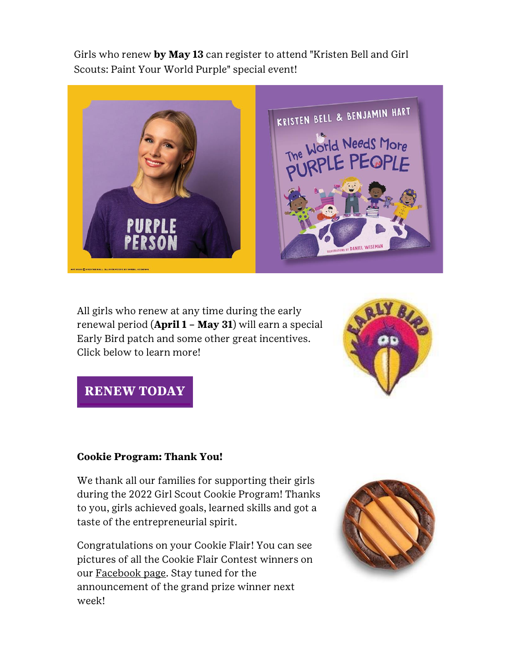Girls who renew **by May 13** can register to attend "Kristen Bell and Girl Scouts: Paint Your World Purple" special event!



All girls who renew at any time during the early renewal period (**April 1 – May 31**) will earn a special Early Bird patch and some other great incentives. Click below to learn more!



# **[RENEW](https://www.gsccc.org/en/join/renew.html) TODAY**

#### **Cookie Program: Thank You!**

We thank all our families for supporting their girls during the 2022 Girl Scout Cookie Program! Thanks to you, girls achieved goals, learned skills and got a taste of the entrepreneurial spirit.

Congratulations on your Cookie Flair! You can see pictures of all the Cookie Flair Contest winners on our [Facebook page.](https://www.facebook.com/girlscoutscolonialcoast/) Stay tuned for the announcement of the grand prize winner next week!

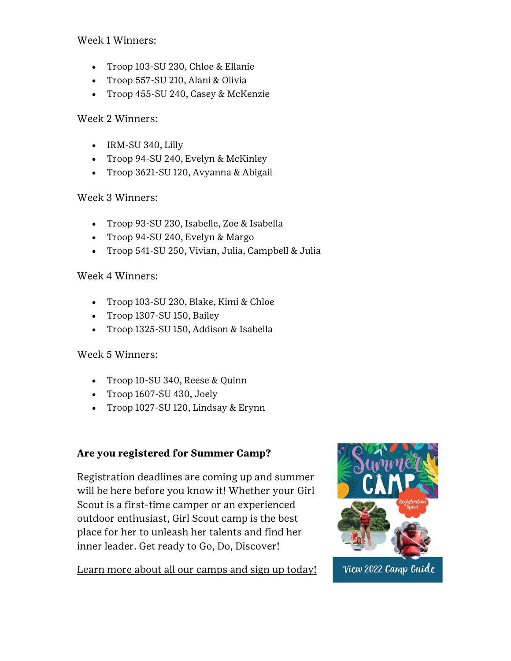Week 1 Winners:

- Troop 103-SU 230, Chloe & Ellanie
- Troop 557-SU 210, Alani & Olivia
- Troop 455-SU 240, Casey & McKenzie

#### Week 2 Winners:

- IRM-SU 340, Lilly
- Troop 94-SU 240, Evelyn & McKinley
- Troop 3621-SU 120, Avyanna & Abigail

#### Week 3 Winners:

- Troop 93-SU 230, Isabelle, Zoe & Isabella
- Troop 94-SU 240, Evelyn & Margo
- Troop 541-SU 250, Vivian, Julia, Campbell & Julia

#### Week 4 Winners:

- Troop 103-SU 230, Blake, Kimi & Chloe
- Troop 1307-SU 150, Bailey
- Troop 1325-SU 150, Addison & Isabella

### Week 5 Winners:

- Troop 10-SU 340, Reese & Quinn
- Troop 1607-SU 430, Joely
- Troop 1027-SU 120, Lindsay & Erynn

### **Are you registered for Summer Camp?**

Registration deadlines are coming up and summer will be here before you know it! Whether your Girl Scout is a first-time camper or an experienced outdoor enthusiast, Girl Scout camp is the best place for her to unleash her talents and find her inner leader. Get ready to Go, Do, Discover!

[Learn more about all our camps and sign up today!](https://www.gsccc.org/en/camp/camps-facilities.html)



View 2022 Camp Guide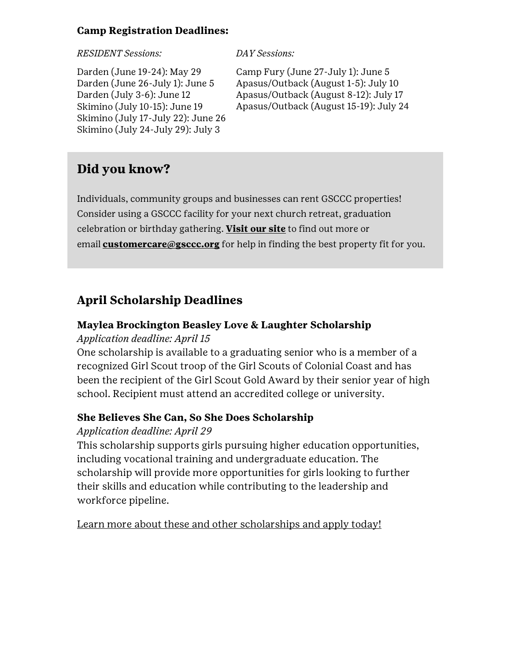#### **Camp Registration Deadlines:**

#### *RESIDENT Sessions: DAY Sessions:*

Darden (June 19-24): May 29 Darden (June 26-July 1): June 5 Darden (July 3-6): June 12 Skimino (July 10-15): June 19 Skimino (July 17-July 22): June 26 Skimino (July 24-July 29): July 3

Camp Fury (June 27-July 1): June 5 Apasus/Outback (August 1-5): July 10 Apasus/Outback (August 8-12): July 17 Apasus/Outback (August 15-19): July 24

# **Did you know?**

Individuals, community groups and businesses can rent GSCCC properties! Consider using a GSCCC facility for your next church retreat, graduation celebration or birthday gathering. **[Visit our site](https://www.gsccc.org/en/camp/camps-facilities.html)** to find out more or email **[customercare@gsccc.org](mailto:customercare@gsccc.org?subject=GSCCC%20Camp%20Properties)** for help in finding the best property fit for you.

# **April Scholarship Deadlines**

### **Maylea Brockington Beasley Love & Laughter Scholarship**

### *Application deadline: April 15*

One scholarship is available to a graduating senior who is a member of a recognized Girl Scout troop of the Girl Scouts of Colonial Coast and has been the recipient of the Girl Scout Gold Award by their senior year of high school. Recipient must attend an accredited college or university.

### **She Believes She Can, So She Does Scholarship**

### *Application deadline: April 29*

This scholarship supports girls pursuing higher education opportunities, including vocational training and undergraduate education. The scholarship will provide more opportunities for girls looking to further their skills and education while contributing to the leadership and workforce pipeline.

[Learn more about these and other scholarships and apply today!](https://www.gsccc.org/en/about/our-program/highest-awards/scholarships.html)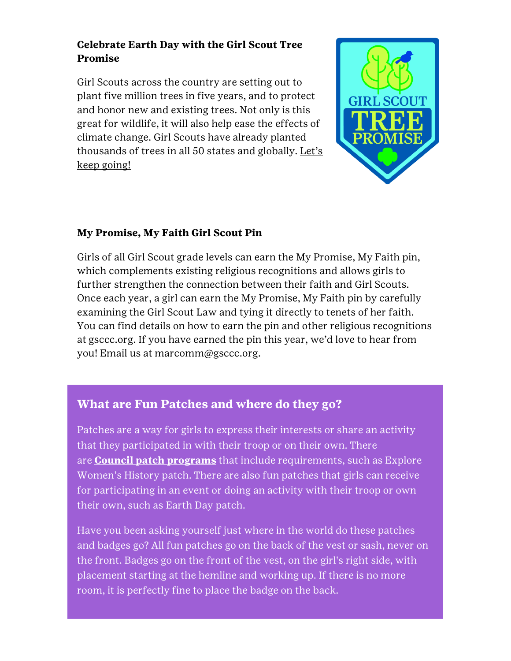### **Celebrate Earth Day with the Girl Scout Tree Promise**

Girl Scouts across the country are setting out to plant five million trees in five years, and to protect and honor new and existing trees. Not only is this great for wildlife, it will also help ease the effects of climate change. Girl Scouts have already planted thousands of trees in all 50 states and globally. Let's [keep going!](https://www.girlscouts.org/en/activities-for-girls/for-every-girl/tree-promise.html)



### **My Promise, My Faith Girl Scout Pin**

Girls of all Girl Scout grade levels can earn the My Promise, My Faith pin, which complements existing religious recognitions and allows girls to further strengthen the connection between their faith and Girl Scouts. Once each year, a girl can earn the My Promise, My Faith pin by carefully examining the Girl Scout Law and tying it directly to tenets of her faith. You can find details on how to earn the pin and other religious recognitions at [gsccc.org](https://www.gsccc.org/en/about/our-program/partners-in-faith.html). If you have earned the pin this year, we'd love to hear from you! Email us at [marcomm@gsccc.org.](mailto:marcomm@gsccc.org?subject=)

# **What are Fun Patches and where do they go?**

Patches are a way for girls to express their interests or share an activity that they participated in with their troop or on their own. There are **[Council patch programs](https://www.gsccc.org/en/about/our-program/patch-programs.html)** that include requirements, such as Explore Women's History patch. There are also fun patches that girls can receive for participating in an event or doing an activity with their troop or own their own, such as Earth Day patch.

Have you been asking yourself just where in the world do these patches and badges go? All fun patches go on the back of the vest or sash, never on the front. Badges go on the front of the vest, on the girl's right side, with placement starting at the hemline and working up. If there is no more room, it is perfectly fine to place the badge on the back.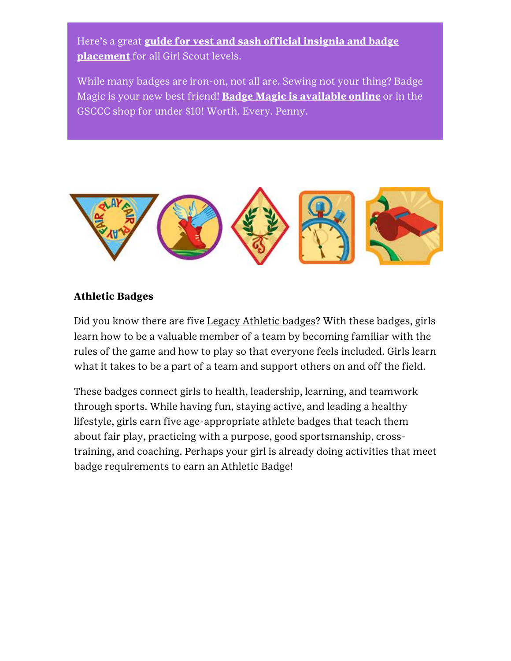Here's a great **[guide for vest and sash official insignia and badge](https://www.girlscoutshop.com/where-to-place)  [placement](https://www.girlscoutshop.com/where-to-place)** for all Girl Scout levels.

While many badges are iron-on, not all are. Sewing not your thing? Badge Magic is your new best friend! **[Badge Magic is available online](https://www.girlscoutshop.com/search?keywords=badge%20magic)** or in the GSCCC shop for under \$10! Worth. Every. Penny.



#### **Athletic Badges**

Did you know there are five [Legacy Athletic badges?](https://blog.girlscouts.org/2018/02/5-athlete-badges-that-change-girls-lives.html) With these badges, girls learn how to be a valuable member of a team by becoming familiar with the rules of the game and how to play so that everyone feels included. Girls learn what it takes to be a part of a team and support others on and off the field.

These badges connect girls to health, leadership, learning, and teamwork through sports. While having fun, staying active, and leading a healthy lifestyle, girls earn five age-appropriate athlete badges that teach them about fair play, practicing with a purpose, good sportsmanship, crosstraining, and coaching. Perhaps your girl is already doing activities that meet badge requirements to earn an Athletic Badge!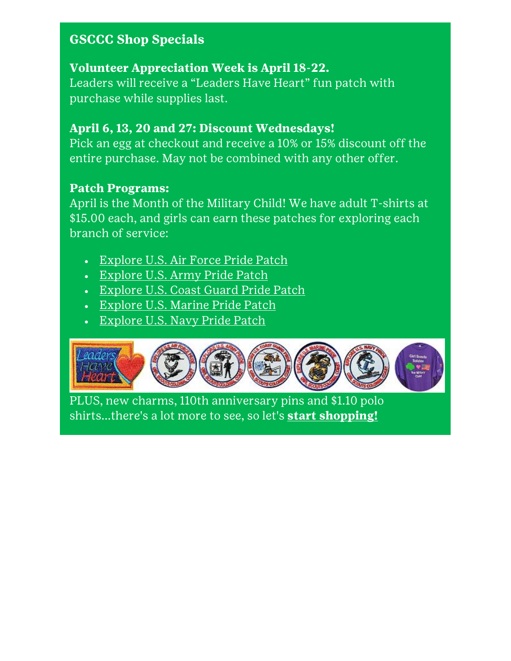# **GSCCC Shop Specials**

# **Volunteer Appreciation Week is April 18-22.**

Leaders will receive a "Leaders Have Heart" fun patch with purchase while supplies last.

# **April 6, 13, 20 and 27: Discount Wednesdays!**

Pick an egg at checkout and receive a 10% or 15% discount off the entire purchase. May not be combined with any other offer.

# **Patch Programs:**

April is the Month of the Military Child! We have adult T-shirts at \$15.00 each, and girls can earn these patches for exploring each branch of service:

- [Explore U.S. Air Force Pride Patch](https://www.gsccc.org/content/dam/girlscouts-gsccc/documents/patch-programs/Explore%20US%20Air%20Force%20Pride%202020.pdf)
- [Explore U.S. Army](https://www.gsccc.org/content/dam/girlscouts-gsccc/documents/patch-programs/Explore%20US%20Army%20Pride%20Patch%202020.pdf) Pride Patch
- **[Explore U.S. Coast Guard Pride Patch](https://www.gsccc.org/content/dam/girlscouts-gsccc/documents/patch-programs/Explore%20US%20Coast%20Guard%20Pride%202020.pdf)**
- · [Explore U.S. Marine Pride Patch](https://www.gsccc.org/content/dam/girlscouts-gsccc/documents/patch-programs/Explore%20U%20S%20%20Marine%20Pride%20Patch%202020.pdf)
- [Explore U.S. Navy Pride Patch](https://www.gsccc.org/content/dam/girlscouts-gsccc/documents/patch-programs/Explore%20U%20S%20Navy%20Pride%20Patch%202020.pdf)



PLUS, new charms, 110th anniversary pins and \$1.10 polo shirts...there's a lot more to see, so let's **[start shopping!](https://www.gsccc.org/en/our-council/shop.html)**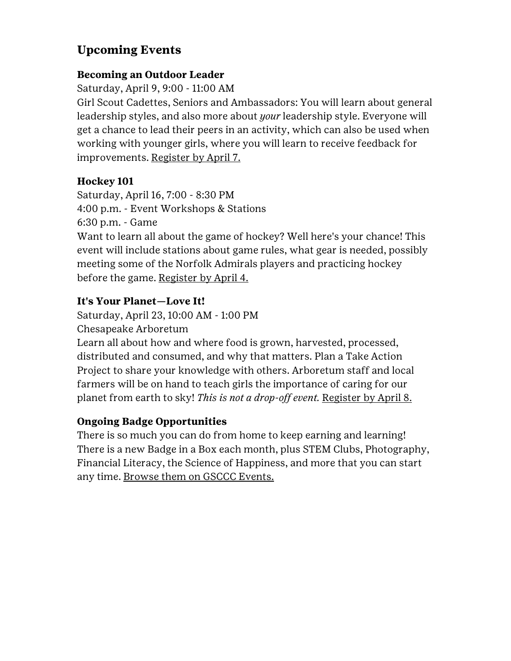# **Upcoming Events**

### **Becoming an Outdoor Leader**

Saturday, April 9, 9:00 - 11:00 AM

Girl Scout Cadettes, Seniors and Ambassadors: You will learn about general leadership styles, and also more about *your* leadership style. Everyone will get a chance to lead their peers in an activity, which can also be used when working with younger girls, where you will learn to receive feedback for improvements. [Register by April 7.](https://www.gsccc.org/en/sf-events-repository/2022/becoming-an-outdoor-leader.html)

### **Hockey 101**

Saturday, April 16, 7:00 - 8:30 PM 4:00 p.m. - Event Workshops & Stations 6:30 p.m. - Game

Want to learn all about the game of hockey? Well here's your chance! This event will include stations about game rules, what gear is needed, possibly meeting some of the Norfolk Admirals players and practicing hockey before the game. [Register by April 4.](https://www.gsccc.org/en/sf-events-repository/2022/hockey-101.html)

# **It's Your Planet—Love It!**

Saturday, April 23, 10:00 AM - 1:00 PM

Chesapeake Arboretum

Learn all about how and where food is grown, harvested, processed, distributed and consumed, and why that matters. Plan a Take Action Project to share your knowledge with others. Arboretum staff and local farmers will be on hand to teach girls the importance of caring for our planet from earth to sky! *This is not a drop-off event.* [Register by April 8.](https://www.gsccc.org/en/sf-events-repository/2022/it-s-your-planet-love-it-.html)

# **Ongoing Badge Opportunities**

There is so much you can do from home to keep earning and learning! There is a new Badge in a Box each month, plus STEM Clubs, Photography, Financial Literacy, the Science of Happiness, and more that you can start any time. [Browse them on GSCCC Events.](https://www.gsccc.org/en/events/event-calendar.html)